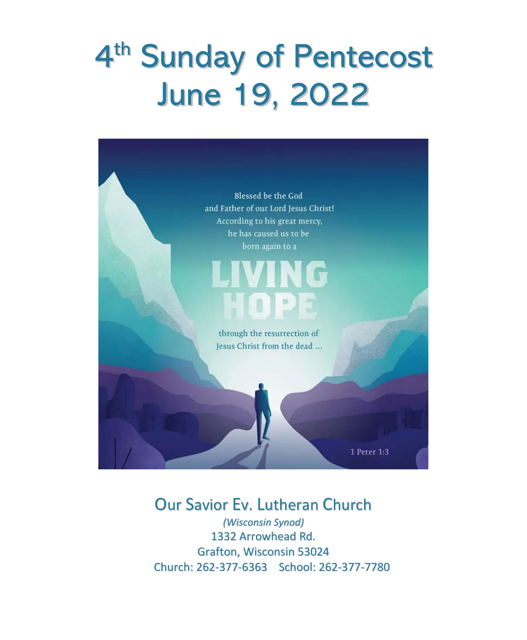# 4<sup>th</sup> Sunday of Pentecost June 19, 2022



## Our Savior Ev. Lutheran Church

*(Wisconsin Synod)* 1332 Arrowhead Rd. Grafton, Wisconsin 53024 Church: 262-377-6363 School: 262-377-7780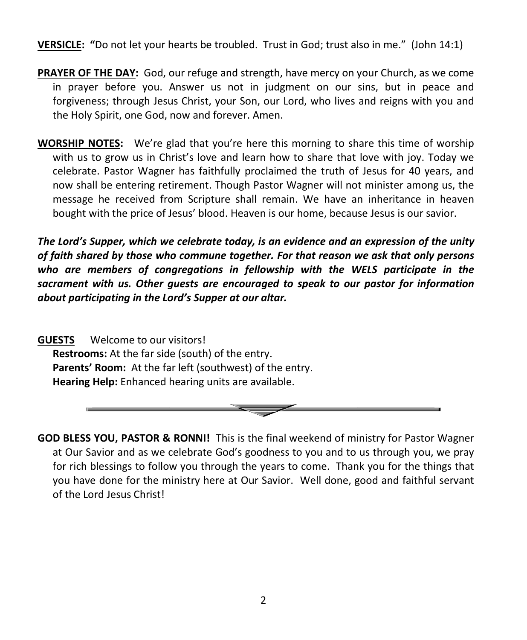**VERSICLE: "**Do not let your hearts be troubled. Trust in God; trust also in me." (John 14:1)

- **PRAYER OF THE DAY:** God, our refuge and strength, have mercy on your Church, as we come in prayer before you. Answer us not in judgment on our sins, but in peace and forgiveness; through Jesus Christ, your Son, our Lord, who lives and reigns with you and the Holy Spirit, one God, now and forever. Amen.
- **WORSHIP NOTES:** We're glad that you're here this morning to share this time of worship with us to grow us in Christ's love and learn how to share that love with joy. Today we celebrate. Pastor Wagner has faithfully proclaimed the truth of Jesus for 40 years, and now shall be entering retirement. Though Pastor Wagner will not minister among us, the message he received from Scripture shall remain. We have an inheritance in heaven bought with the price of Jesus' blood. Heaven is our home, because Jesus is our savior.

*The Lord's Supper, which we celebrate today, is an evidence and an expression of the unity of faith shared by those who commune together. For that reason we ask that only persons who are members of congregations in fellowship with the WELS participate in the sacrament with us. Other guests are encouraged to speak to our pastor for information about participating in the Lord's Supper at our altar.*

**GUESTS** Welcome to our visitors! **Restrooms:** At the far side (south) of the entry. **Parents' Room:** At the far left (southwest) of the entry. **Hearing Help:** Enhanced hearing units are available.



**GOD BLESS YOU, PASTOR & RONNI!** This is the final weekend of ministry for Pastor Wagner at Our Savior and as we celebrate God's goodness to you and to us through you, we pray for rich blessings to follow you through the years to come. Thank you for the things that you have done for the ministry here at Our Savior. Well done, good and faithful servant of the Lord Jesus Christ!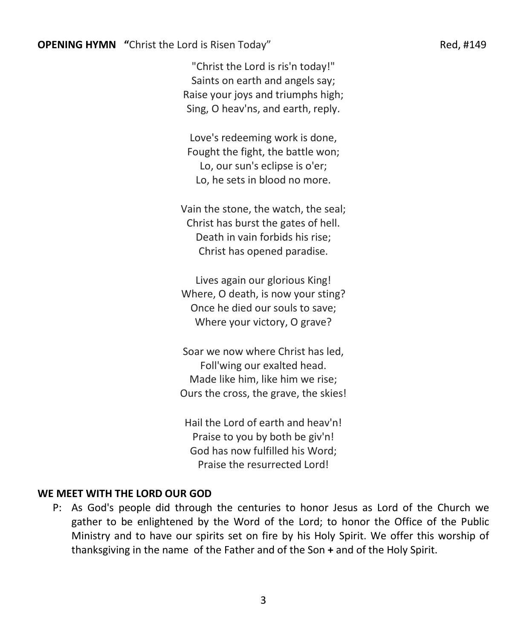"Christ the Lord is ris'n today!" Saints on earth and angels say; Raise your joys and triumphs high; Sing, O heav'ns, and earth, reply.

Love's redeeming work is done, Fought the fight, the battle won; Lo, our sun's eclipse is o'er; Lo, he sets in blood no more.

Vain the stone, the watch, the seal; Christ has burst the gates of hell. Death in vain forbids his rise; Christ has opened paradise.

Lives again our glorious King! Where, O death, is now your sting? Once he died our souls to save; Where your victory, O grave?

Soar we now where Christ has led, Foll'wing our exalted head. Made like him, like him we rise; Ours the cross, the grave, the skies!

Hail the Lord of earth and heav'n! Praise to you by both be giv'n! God has now fulfilled his Word; Praise the resurrected Lord!

#### **WE MEET WITH THE LORD OUR GOD**

P: As God's people did through the centuries to honor Jesus as Lord of the Church we gather to be enlightened by the Word of the Lord; to honor the Office of the Public Ministry and to have our spirits set on fire by his Holy Spirit. We offer this worship of thanksgiving in the name of the Father and of the Son **+** and of the Holy Spirit.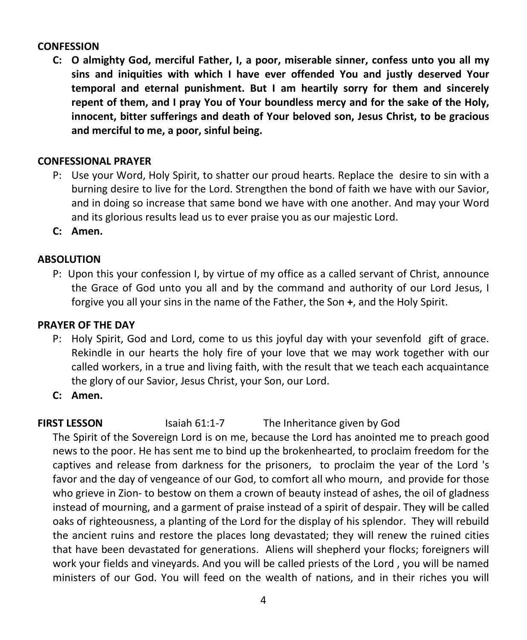#### **CONFESSION**

**C: O almighty God, merciful Father, I, a poor, miserable sinner, confess unto you all my sins and iniquities with which I have ever offended You and justly deserved Your temporal and eternal punishment. But I am heartily sorry for them and sincerely repent of them, and I pray You of Your boundless mercy and for the sake of the Holy, innocent, bitter sufferings and death of Your beloved son, Jesus Christ, to be gracious and merciful to me, a poor, sinful being.**

#### **CONFESSIONAL PRAYER**

- P: Use your Word, Holy Spirit, to shatter our proud hearts. Replace the desire to sin with a burning desire to live for the Lord. Strengthen the bond of faith we have with our Savior, and in doing so increase that same bond we have with one another. And may your Word and its glorious results lead us to ever praise you as our majestic Lord.
- **C: Amen.**

#### **ABSOLUTION**

P: Upon this your confession I, by virtue of my office as a called servant of Christ, announce the Grace of God unto you all and by the command and authority of our Lord Jesus, I forgive you all your sins in the name of the Father, the Son **+**, and the Holy Spirit.

#### **PRAYER OF THE DAY**

- P: Holy Spirit, God and Lord, come to us this joyful day with your sevenfold gift of grace. Rekindle in our hearts the holy fire of your love that we may work together with our called workers, in a true and living faith, with the result that we teach each acquaintance the glory of our Savior, Jesus Christ, your Son, our Lord.
- **C: Amen.**

#### **FIRST LESSON Isaiah 61:1-7** The Inheritance given by God

The Spirit of the Sovereign Lord is on me, because the Lord has anointed me to preach good news to the poor. He has sent me to bind up the brokenhearted, to proclaim freedom for the captives and release from darkness for the prisoners, to proclaim the year of the Lord 's favor and the day of vengeance of our God, to comfort all who mourn, and provide for those who grieve in Zion- to bestow on them a crown of beauty instead of ashes, the oil of gladness instead of mourning, and a garment of praise instead of a spirit of despair. They will be called oaks of righteousness, a planting of the Lord for the display of his splendor. They will rebuild the ancient ruins and restore the places long devastated; they will renew the ruined cities that have been devastated for generations. Aliens will shepherd your flocks; foreigners will work your fields and vineyards. And you will be called priests of the Lord , you will be named ministers of our God. You will feed on the wealth of nations, and in their riches you will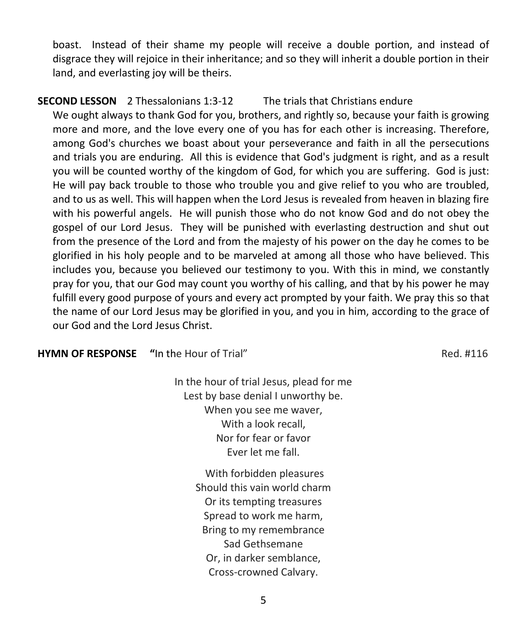boast. Instead of their shame my people will receive a double portion, and instead of disgrace they will rejoice in their inheritance; and so they will inherit a double portion in their land, and everlasting joy will be theirs.

#### **SECOND LESSON** 2 Thessalonians 1:3-12 The trials that Christians endure

We ought always to thank God for you, brothers, and rightly so, because your faith is growing more and more, and the love every one of you has for each other is increasing. Therefore, among God's churches we boast about your perseverance and faith in all the persecutions and trials you are enduring. All this is evidence that God's judgment is right, and as a result you will be counted worthy of the kingdom of God, for which you are suffering. God is just: He will pay back trouble to those who trouble you and give relief to you who are troubled, and to us as well. This will happen when the Lord Jesus is revealed from heaven in blazing fire with his powerful angels. He will punish those who do not know God and do not obey the gospel of our Lord Jesus. They will be punished with everlasting destruction and shut out from the presence of the Lord and from the majesty of his power on the day he comes to be glorified in his holy people and to be marveled at among all those who have believed. This includes you, because you believed our testimony to you. With this in mind, we constantly pray for you, that our God may count you worthy of his calling, and that by his power he may fulfill every good purpose of yours and every act prompted by your faith. We pray this so that the name of our Lord Jesus may be glorified in you, and you in him, according to the grace of our God and the Lord Jesus Christ.

#### **HYMN OF RESPONSE "**In the Hour of Trial" **Red. #116** Red. #116

In the hour of trial Jesus, plead for me Lest by base denial I unworthy be. When you see me waver, With a look recall, Nor for fear or favor Ever let me fall.

> With forbidden pleasures Should this vain world charm Or its tempting treasures Spread to work me harm, Bring to my remembrance Sad Gethsemane Or, in darker semblance, Cross-crowned Calvary.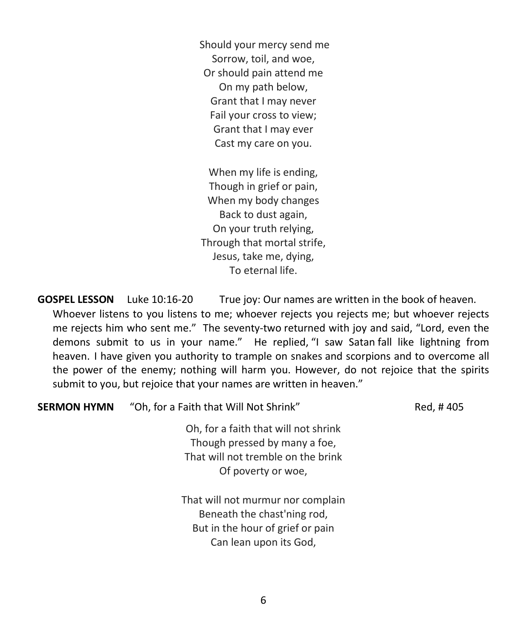Should your mercy send me Sorrow, toil, and woe, Or should pain attend me On my path below, Grant that I may never Fail your cross to view; Grant that I may ever Cast my care on you.

When my life is ending, Though in grief or pain, When my body changes Back to dust again, On your truth relying, Through that mortal strife, Jesus, take me, dying, To eternal life.

**GOSPEL LESSON** Luke 10:16-20 True joy: Our names are written in the book of heaven. Whoever listens to you listens to me; whoever rejects you rejects me; but whoever rejects me rejects him who sent me." The seventy-two returned with joy and said, "Lord, even the demons submit to us in your name." He replied, "I saw Satan fall like lightning from heaven. I have given you authority to trample on snakes and scorpions and to overcome all the power of the enemy; nothing will harm you. However, do not rejoice that the spirits submit to you, but rejoice that your names are written in heaven."

| <b>SERMON HYMN</b> | "Oh, for a Faith that Will Not Shrink"                                                                                            | Red, #405 |
|--------------------|-----------------------------------------------------------------------------------------------------------------------------------|-----------|
|                    | Oh, for a faith that will not shrink<br>Though pressed by many a foe,<br>That will not tremble on the brink<br>Of poverty or woe, |           |
|                    | That will not murmur nor complain<br>Beneath the chast'ning rod,                                                                  |           |

But in the hour of grief or pain Can lean upon its God,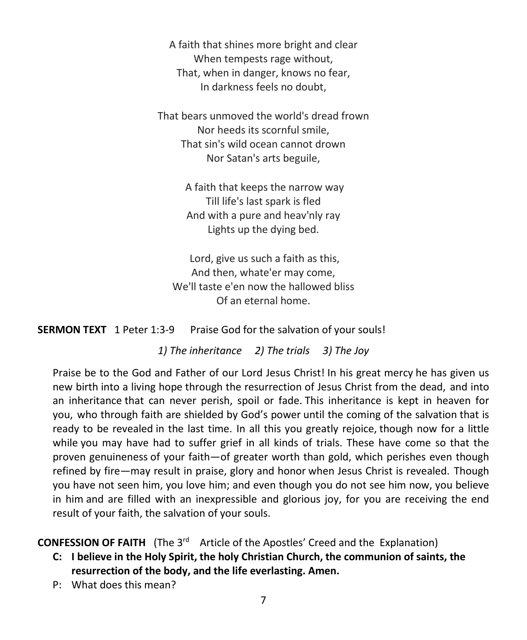A faith that shines more bright and clear When tempests rage without, That, when in danger, knows no fear, In darkness feels no doubt,

That bears unmoved the world's dread frown Nor heeds its scornful smile, That sin's wild ocean cannot drown Nor Satan's arts beguile,

> A faith that keeps the narrow way Till life's last spark is fled And with a pure and heav'nly ray Lights up the dying bed.

Lord, give us such a faith as this, And then, whate'er may come, We'll taste e'en now the hallowed bliss Of an eternal home.

**SERMON TEXT** 1 Peter 1:3-9 Praise God for the salvation of your souls!

*1) The inheritance 2) The trials 3) The Joy*

Praise be to the God and Father of our Lord Jesus Christ! In his great mercy he has given us new birth into a living hope through the resurrection of Jesus Christ from the dead, and into an inheritance that can never perish, spoil or fade. This inheritance is kept in heaven for you, who through faith are shielded by God's power until the coming of the salvation that is ready to be revealed in the last time. In all this you greatly rejoice, though now for a little while you may have had to suffer grief in all kinds of trials. These have come so that the proven genuineness of your faith—of greater worth than gold, which perishes even though refined by fire—may result in praise, glory and honor when Jesus Christ is revealed. Though you have not seen him, you love him; and even though you do not see him now, you believe in him and are filled with an inexpressible and glorious joy, for you are receiving the end result of your faith, the salvation of your souls.

**CONFESSION OF FAITH** (The 3<sup>rd</sup> Article of the Apostles' Creed and the Explanation)

- **C: I believe in the Holy Spirit, the holy Christian Church, the communion of saints, the resurrection of the body, and the life everlasting. Amen.**
- P: What does this mean?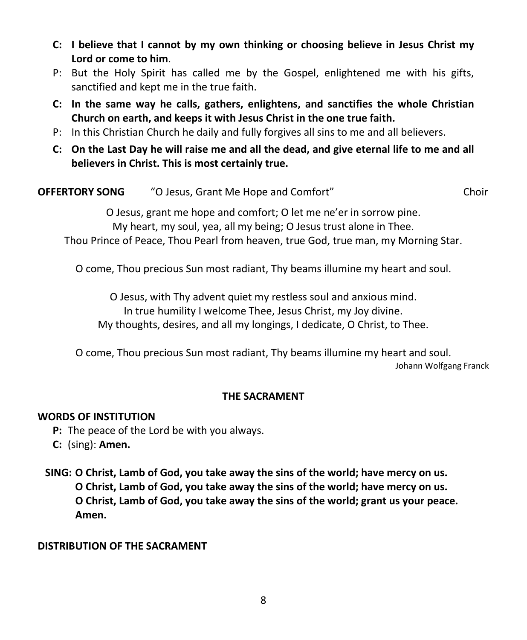- **C: I believe that I cannot by my own thinking or choosing believe in Jesus Christ my Lord or come to him**.
- P: But the Holy Spirit has called me by the Gospel, enlightened me with his gifts, sanctified and kept me in the true faith.
- **C: In the same way he calls, gathers, enlightens, and sanctifies the whole Christian Church on earth, and keeps it with Jesus Christ in the one true faith.**
- P: In this Christian Church he daily and fully forgives all sins to me and all believers.
- **C: On the Last Day he will raise me and all the dead, and give eternal life to me and all believers in Christ. This is most certainly true.**

| <b>OFFERTORY SONG</b> | "O Jesus, Grant Me Hope and Comfort"                               | Choir |
|-----------------------|--------------------------------------------------------------------|-------|
|                       | O Jesus, grant me hope and comfort; O let me ne'er in sorrow pine. |       |

My heart, my soul, yea, all my being; O Jesus trust alone in Thee. Thou Prince of Peace, Thou Pearl from heaven, true God, true man, my Morning Star.

O come, Thou precious Sun most radiant, Thy beams illumine my heart and soul.

O Jesus, with Thy advent quiet my restless soul and anxious mind. In true humility I welcome Thee, Jesus Christ, my Joy divine. My thoughts, desires, and all my longings, I dedicate, O Christ, to Thee.

O come, Thou precious Sun most radiant, Thy beams illumine my heart and soul.

Johann Wolfgang Franck

#### **THE SACRAMENT**

#### **WORDS OF INSTITUTION**

**P:** The peace of the Lord be with you always.

**C:** (sing): **Amen.**

**SING: O Christ, Lamb of God, you take away the sins of the world; have mercy on us. O Christ, Lamb of God, you take away the sins of the world; have mercy on us. O Christ, Lamb of God, you take away the sins of the world; grant us your peace. Amen.**

#### **DISTRIBUTION OF THE SACRAMENT**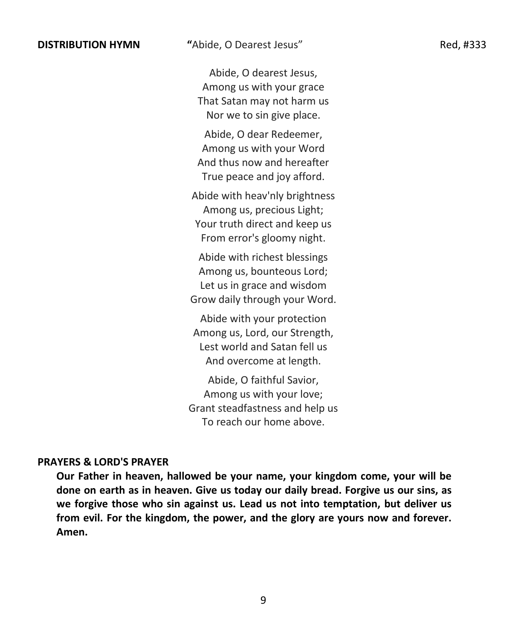Abide, O dearest Jesus, Among us with your grace That Satan may not harm us Nor we to sin give place.

Abide, O dear Redeemer, Among us with your Word And thus now and hereafter True peace and joy afford.

Abide with heav'nly brightness Among us, precious Light; Your truth direct and keep us From error's gloomy night.

Abide with richest blessings Among us, bounteous Lord; Let us in grace and wisdom Grow daily through your Word.

Abide with your protection Among us, Lord, our Strength, Lest world and Satan fell us And overcome at length.

Abide, O faithful Savior, Among us with your love; Grant steadfastness and help us To reach our home above.

#### **PRAYERS & LORD'S PRAYER**

**Our Father in heaven, hallowed be your name, your kingdom come, your will be done on earth as in heaven. Give us today our daily bread. Forgive us our sins, as we forgive those who sin against us. Lead us not into temptation, but deliver us from evil. For the kingdom, the power, and the glory are yours now and forever. Amen.**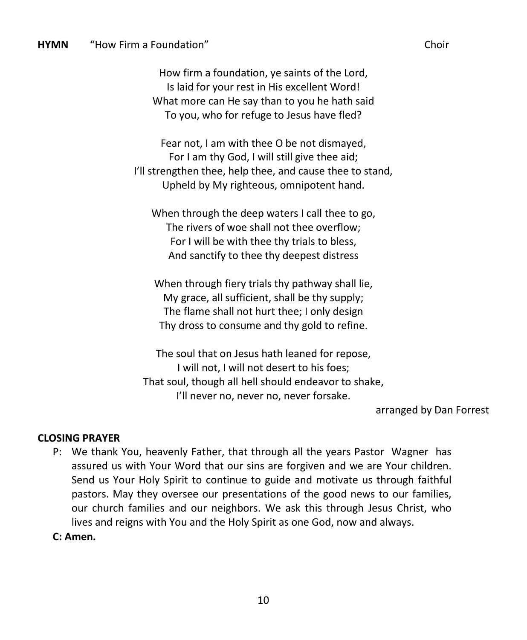How firm a foundation, ye saints of the Lord, Is laid for your rest in His excellent Word! What more can He say than to you he hath said To you, who for refuge to Jesus have fled?

Fear not, I am with thee O be not dismayed, For I am thy God, I will still give thee aid; I'll strengthen thee, help thee, and cause thee to stand, Upheld by My righteous, omnipotent hand.

When through the deep waters I call thee to go, The rivers of woe shall not thee overflow; For I will be with thee thy trials to bless, And sanctify to thee thy deepest distress

When through fiery trials thy pathway shall lie, My grace, all sufficient, shall be thy supply; The flame shall not hurt thee; I only design Thy dross to consume and thy gold to refine.

The soul that on Jesus hath leaned for repose, I will not, I will not desert to his foes; That soul, though all hell should endeavor to shake, I'll never no, never no, never forsake.

arranged by Dan Forrest

#### **CLOSING PRAYER**

P: We thank You, heavenly Father, that through all the years Pastor Wagner has assured us with Your Word that our sins are forgiven and we are Your children. Send us Your Holy Spirit to continue to guide and motivate us through faithful pastors. May they oversee our presentations of the good news to our families, our church families and our neighbors. We ask this through Jesus Christ, who lives and reigns with You and the Holy Spirit as one God, now and always.

#### **C: Amen.**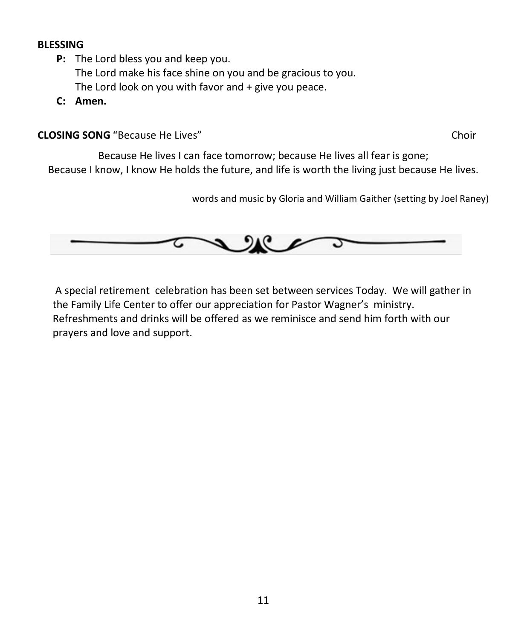#### **BLESSING**

- **P:** The Lord bless you and keep you. The Lord make his face shine on you and be gracious to you. The Lord look on you with favor and + give you peace.
- **C: Amen.**

**CLOSING SONG** "Because He Lives" Choir

Because He lives I can face tomorrow; because He lives all fear is gone; Because I know, I know He holds the future, and life is worth the living just because He lives.

words and music by Gloria and William Gaither (setting by Joel Raney)



A special retirement celebration has been set between services Today. We will gather in the Family Life Center to offer our appreciation for Pastor Wagner's ministry. Refreshments and drinks will be offered as we reminisce and send him forth with our prayers and love and support.